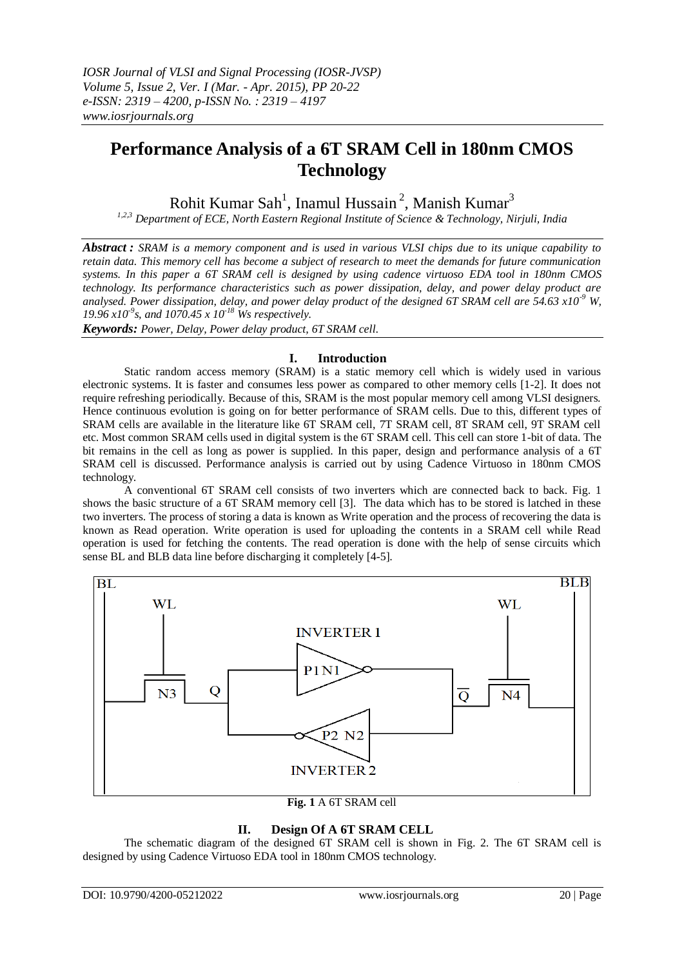# **Performance Analysis of a 6T SRAM Cell in 180nm CMOS Technology**

Rohit Kumar Sah<sup>1</sup>, Inamul Hussain<sup>2</sup>, Manish Kumar<sup>3</sup>

*1,2,3 Department of ECE, North Eastern Regional Institute of Science & Technology, Nirjuli, India*

*Abstract : SRAM is a memory component and is used in various VLSI chips due to its unique capability to retain data. This memory cell has become a subject of research to meet the demands for future communication systems. In this paper a 6T SRAM cell is designed by using cadence virtuoso EDA tool in 180nm CMOS technology. Its performance characteristics such as power dissipation, delay, and power delay product are analysed. Power dissipation, delay, and power delay product of the designed 6T SRAM cell are 54.63 x10-9 W, 19.96 x10-9 s, and 1070.45 x 10-18 Ws respectively.* 

*Keywords: Power, Delay, Power delay product, 6T SRAM cell*.

### **I. Introduction**

Static random access memory (SRAM) is a static memory cell which is widely used in various electronic systems. It is faster and consumes less power as compared to other memory cells [1-2]. It does not require refreshing periodically. Because of this, SRAM is the most popular memory cell among VLSI designers. Hence continuous evolution is going on for better performance of SRAM cells. Due to this, different types of SRAM cells are available in the literature like 6T SRAM cell, 7T SRAM cell, 8T SRAM cell, 9T SRAM cell etc. Most common SRAM cells used in digital system is the 6T SRAM cell. This cell can store 1-bit of data. The bit remains in the cell as long as power is supplied. In this paper, design and performance analysis of a 6T SRAM cell is discussed. Performance analysis is carried out by using Cadence Virtuoso in 180nm CMOS technology.

A conventional 6T SRAM cell consists of two inverters which are connected back to back. Fig. 1 shows the basic structure of a 6T SRAM memory cell [3]. The data which has to be stored is latched in these two inverters. The process of storing a data is known as Write operation and the process of recovering the data is known as Read operation. Write operation is used for uploading the contents in a SRAM cell while Read operation is used for fetching the contents. The read operation is done with the help of sense circuits which sense BL and BLB data line before discharging it completely [4-5].



**Fig. 1** A 6T SRAM cell

## **II. Design Of A 6T SRAM CELL**

The schematic diagram of the designed 6T SRAM cell is shown in Fig. 2. The 6T SRAM cell is designed by using Cadence Virtuoso EDA tool in 180nm CMOS technology.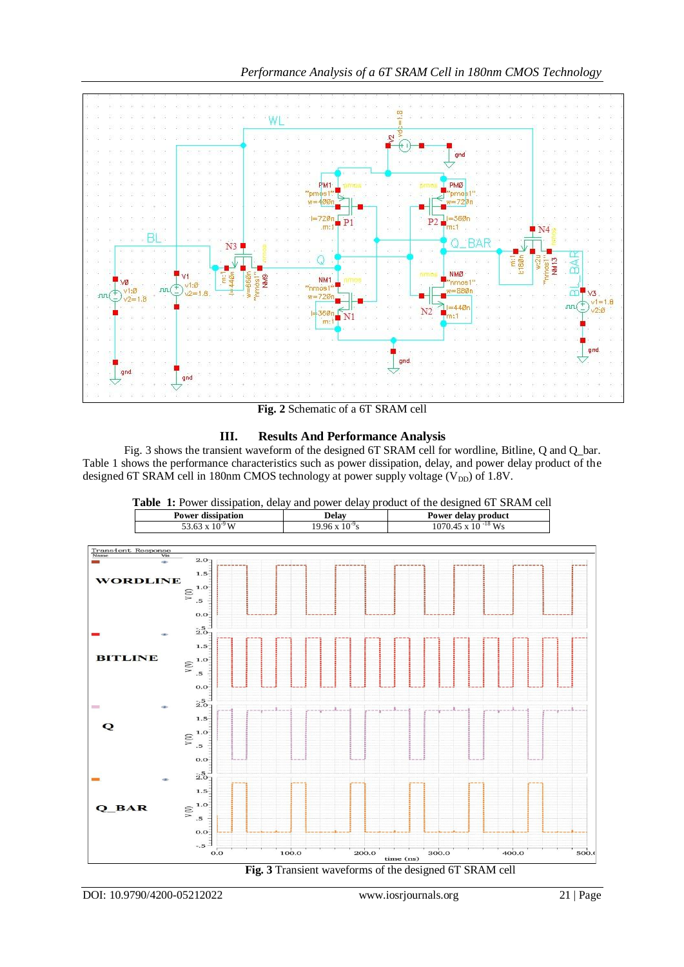

**Fig. 2** Schematic of a 6T SRAM cell

# **III. Results And Performance Analysis**

Fig. 3 shows the transient waveform of the designed 6T SRAM cell for wordline, Bitline, Q and Q\_bar. Table 1 shows the performance characteristics such as power dissipation, delay, and power delay product of the designed 6T SRAM cell in 180nm CMOS technology at power supply voltage  $(V_{DD})$  of 1.8V.



**Table 1:** Power dissipation, delay and power delay product of the designed 6T SRAM cell